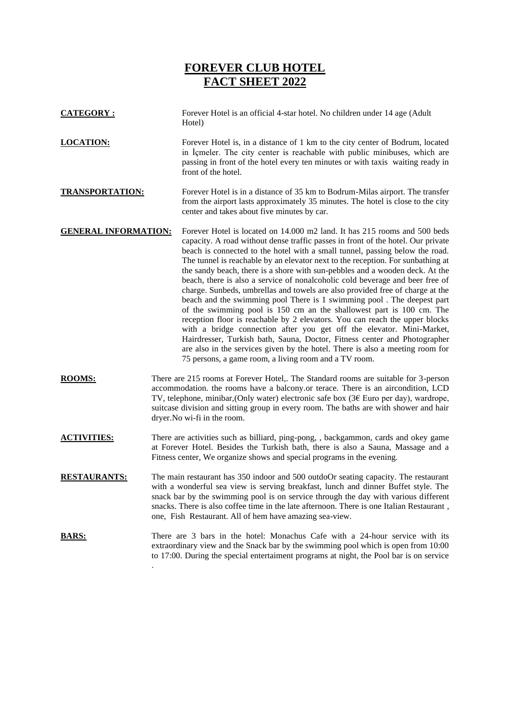# **FOREVER CLUB HOTEL FACT SHEET 2022**

**CATEGORY :** Forever Hotel is an official 4-star hotel. No children under 14 age (Adult Hotel) **LOCATION:** Forever Hotel is, in a distance of 1 km to the city center of Bodrum, located in İçmeler. The city center is reachable with public minibuses, which are passing in front of the hotel every ten minutes or with taxis waiting ready in front of the hotel. **TRANSPORTATION:** Forever Hotel is in a distance of 35 km to Bodrum-Milas airport. The transfer from the airport lasts approximately 35 minutes. The hotel is close to the city center and takes about five minutes by car. **GENERAL INFORMATION:** Forever Hotel is located on 14.000 m2 land. It has 215 rooms and 500 beds capacity. A road without dense traffic passes in front of the hotel. Our private beach is connected to the hotel with a small tunnel, passing below the road. The tunnel is reachable by an elevator next to the reception. For sunbathing at the sandy beach, there is a shore with sun-pebbles and a wooden deck. At the beach, there is also a service of nonalcoholic cold beverage and beer free of charge. Sunbeds, umbrellas and towels are also provided free of charge at the beach and the swimming pool There is 1 swimming pool . The deepest part of the swimming pool is 150 cm an the shallowest part is 100 cm. The reception floor is reachable by 2 elevators. You can reach the upper blocks with a bridge connection after you get off the elevator. Mini-Market, Hairdresser, Turkish bath, Sauna, Doctor, Fitness center and Photographer are also in the services given by the hotel. There is also a meeting room for 75 persons, a game room, a living room and a TV room. **ROOMS:** There are 215 rooms at Forever Hotel,. The Standard rooms are suitable for 3-person accommodation. the rooms have a balcony.or terace. There is an aircondition, LCD TV, telephone, minibar,(Only water) electronic safe box (3€ Euro per day), wardrope, suitcase division and sitting group in every room. The baths are with shower and hair dryer.No wi-fi in the room. **ACTIVITIES:** There are activities such as billiard, ping-pong, , backgammon, cards and okey game at Forever Hotel. Besides the Turkish bath, there is also a Sauna, Massage and a Fitness center, We organize shows and special programs in the evening. **RESTAURANTS:** The main restaurant has 350 indoor and 500 outdoOr seating capacity. The restaurant with a wonderful sea view is serving breakfast, lunch and dinner Buffet style. The snack bar by the swimming pool is on service through the day with various different snacks. There is also coffee time in the late afternoon. There is one Italian Restaurant , one, Fish Restaurant. All of hem have amazing sea-view. **BARS:** There are 3 bars in the hotel: Monachus Cafe with a 24-hour service with its extraordinary view and the Snack bar by the swimming pool which is open from 10:00 to 17:00. During the special entertaiment programs at night, the Pool bar is on service

.